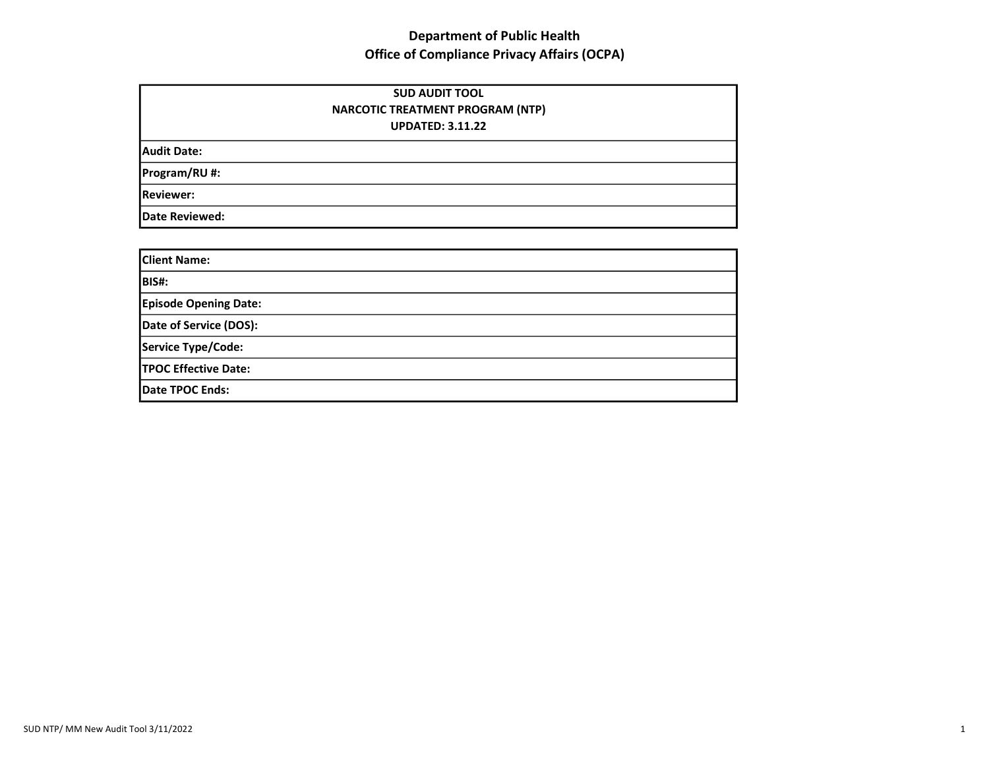| <b>SUD AUDIT TOOL</b><br><b>NARCOTIC TREATMENT PROGRAM (NTP)</b><br><b>UPDATED: 3.11.22</b> |  |
|---------------------------------------------------------------------------------------------|--|
| <b>Audit Date:</b>                                                                          |  |
| Program/RU#:                                                                                |  |
| <b>Reviewer:</b>                                                                            |  |
| <b>Date Reviewed:</b>                                                                       |  |

| <b>Client Name:</b>          |  |
|------------------------------|--|
| <b>BIS#:</b>                 |  |
| <b>Episode Opening Date:</b> |  |
| Date of Service (DOS):       |  |
| Service Type/Code:           |  |
| <b>TPOC Effective Date:</b>  |  |
| Date TPOC Ends:              |  |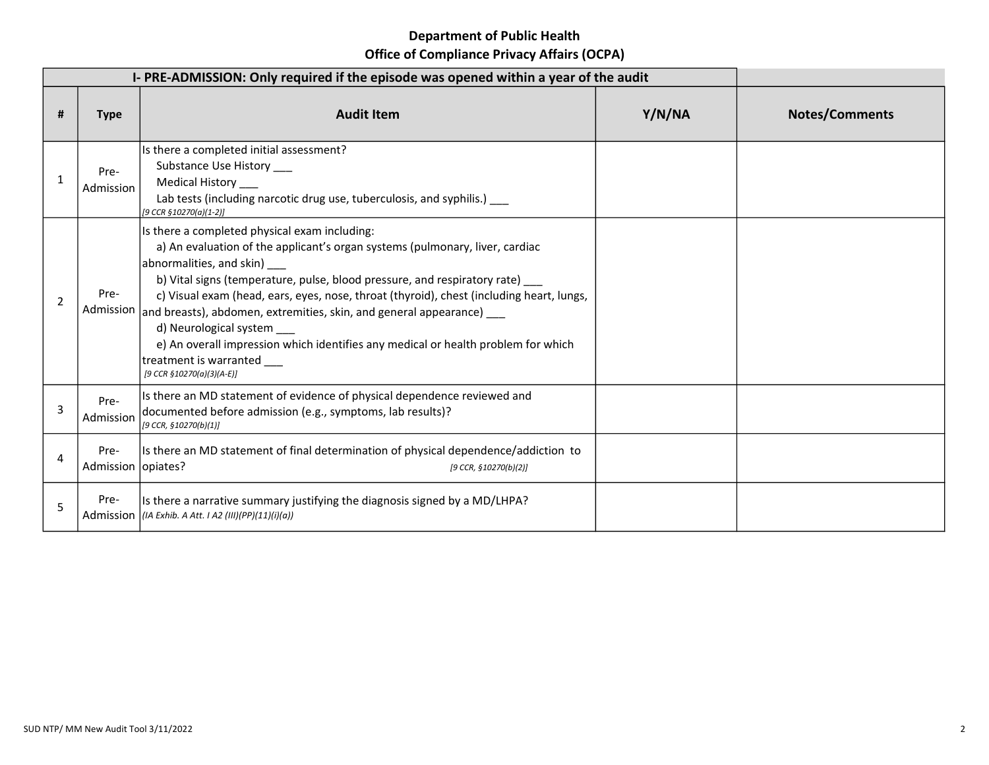| I-PRE-ADMISSION: Only required if the episode was opened within a year of the audit |                              |                                                                                                                                                                                                                                                                                                                                                                                                                                                                                                                                                                                                             |        |                       |
|-------------------------------------------------------------------------------------|------------------------------|-------------------------------------------------------------------------------------------------------------------------------------------------------------------------------------------------------------------------------------------------------------------------------------------------------------------------------------------------------------------------------------------------------------------------------------------------------------------------------------------------------------------------------------------------------------------------------------------------------------|--------|-----------------------|
| #                                                                                   | <b>Type</b>                  | <b>Audit Item</b>                                                                                                                                                                                                                                                                                                                                                                                                                                                                                                                                                                                           | Y/N/NA | <b>Notes/Comments</b> |
|                                                                                     | Pre-<br>Admission            | Is there a completed initial assessment?<br>Substance Use History ___<br>Medical History ___<br>Lab tests (including narcotic drug use, tuberculosis, and syphilis.) __<br>[9 CCR §10270(a)(1-2)]                                                                                                                                                                                                                                                                                                                                                                                                           |        |                       |
| 2                                                                                   | Pre-                         | Is there a completed physical exam including:<br>a) An evaluation of the applicant's organ systems (pulmonary, liver, cardiac<br>abnormalities, and skin) ____<br>b) Vital signs (temperature, pulse, blood pressure, and respiratory rate) ___<br>c) Visual exam (head, ears, eyes, nose, throat (thyroid), chest (including heart, lungs,<br>Admission and breasts), abdomen, extremities, skin, and general appearance) ___<br>d) Neurological system ___<br>e) An overall impression which identifies any medical or health problem for which<br>treatment is warranted<br>[9 CCR $$10270(a)(3)(A-E)$ ] |        |                       |
| 3                                                                                   | Pre-<br>Admission            | Is there an MD statement of evidence of physical dependence reviewed and<br>documented before admission (e.g., symptoms, lab results)?<br>[9 CCR, §10270(b)(1)]                                                                                                                                                                                                                                                                                                                                                                                                                                             |        |                       |
| 4                                                                                   | Pre-<br>Admission   opiates? | Is there an MD statement of final determination of physical dependence/addiction to<br>[9 CCR, §10270(b)(2)]                                                                                                                                                                                                                                                                                                                                                                                                                                                                                                |        |                       |
| 5                                                                                   | Pre-                         | Is there a narrative summary justifying the diagnosis signed by a MD/LHPA?<br>Admission $ (IA \tExhib. A Att. I A2 (III)(PP)(11)(i)(a))$                                                                                                                                                                                                                                                                                                                                                                                                                                                                    |        |                       |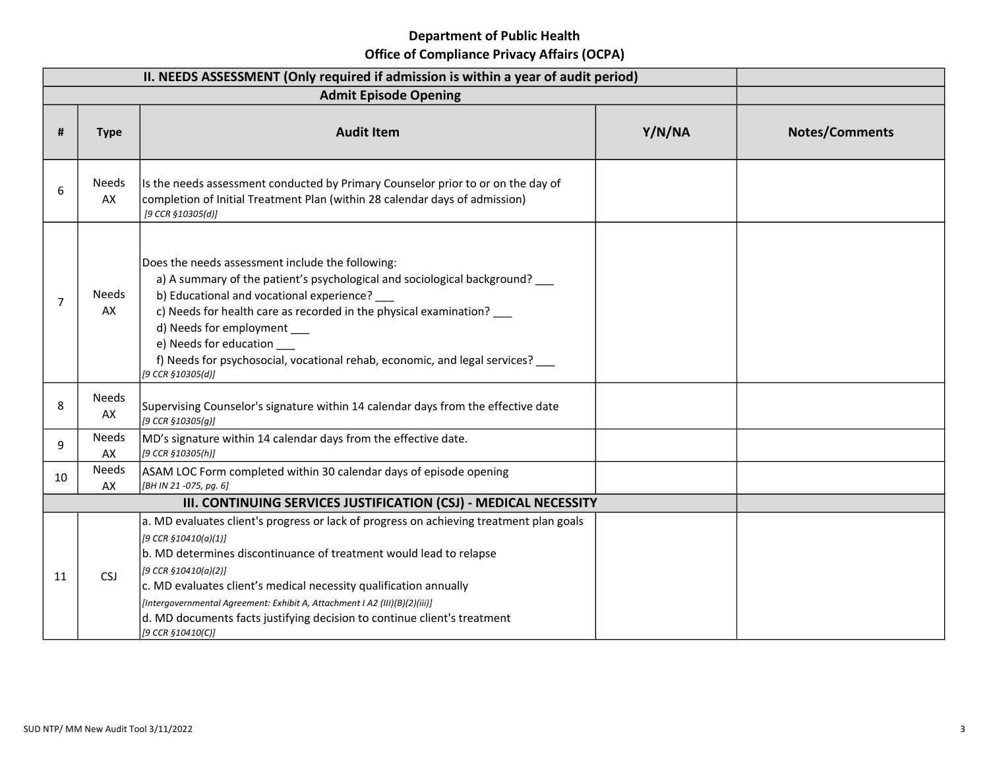|    |                    | II. NEEDS ASSESSMENT (Only required if admission is within a year of audit period)                                                                                                                                                                                                                                                                                                                                                                                |        |                       |
|----|--------------------|-------------------------------------------------------------------------------------------------------------------------------------------------------------------------------------------------------------------------------------------------------------------------------------------------------------------------------------------------------------------------------------------------------------------------------------------------------------------|--------|-----------------------|
|    |                    | <b>Admit Episode Opening</b>                                                                                                                                                                                                                                                                                                                                                                                                                                      |        |                       |
| #  | <b>Type</b>        | <b>Audit Item</b>                                                                                                                                                                                                                                                                                                                                                                                                                                                 | Y/N/NA | <b>Notes/Comments</b> |
| 6  | <b>Needs</b><br>AX | Is the needs assessment conducted by Primary Counselor prior to or on the day of<br>completion of Initial Treatment Plan (within 28 calendar days of admission)<br>[9 CCR §10305(d)]                                                                                                                                                                                                                                                                              |        |                       |
| 7  | <b>Needs</b><br>AX | Does the needs assessment include the following:<br>a) A summary of the patient's psychological and sociological background?<br>b) Educational and vocational experience?<br>c) Needs for health care as recorded in the physical examination? __<br>d) Needs for employment<br>e) Needs for education<br>f) Needs for psychosocial, vocational rehab, economic, and legal services? ___<br>[9 CCR §10305(d)]                                                     |        |                       |
| 8  | Needs<br>AX        | Supervising Counselor's signature within 14 calendar days from the effective date<br>[9 CCR §10305(g)]                                                                                                                                                                                                                                                                                                                                                            |        |                       |
| 9  | Needs<br>AX        | MD's signature within 14 calendar days from the effective date.<br>[9 CCR §10305(h)]                                                                                                                                                                                                                                                                                                                                                                              |        |                       |
| 10 | <b>Needs</b><br>AX | ASAM LOC Form completed within 30 calendar days of episode opening<br>[BH IN 21 -075, pg. 6]                                                                                                                                                                                                                                                                                                                                                                      |        |                       |
|    |                    | III. CONTINUING SERVICES JUSTIFICATION (CSJ) - MEDICAL NECESSITY                                                                                                                                                                                                                                                                                                                                                                                                  |        |                       |
| 11 | <b>CSJ</b>         | a. MD evaluates client's progress or lack of progress on achieving treatment plan goals<br>[9 CCR §10410(a)(1)]<br>b. MD determines discontinuance of treatment would lead to relapse<br>[9 CCR §10410(a)(2)]<br>c. MD evaluates client's medical necessity qualification annually<br>[Intergovernmental Agreement: Exhibit A, Attachment I A2 (III)(B)(2)(iii)]<br>d. MD documents facts justifying decision to continue client's treatment<br>[9 CCR §10410(C)] |        |                       |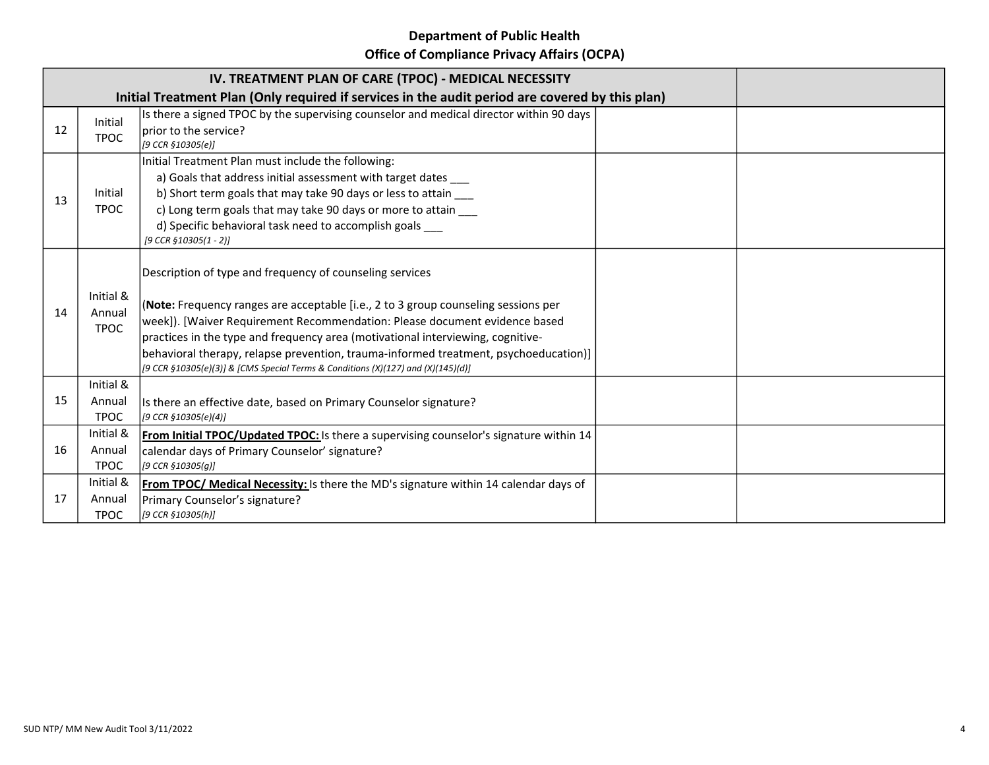## Department of Public Health

Office of Compliance Privacy Affairs (OCPA)

|    |                                                                                                 | IV. TREATMENT PLAN OF CARE (TPOC) - MEDICAL NECESSITY                                                                                                                                                                                                                                                                                                                                                                                                                                       |  |  |
|----|-------------------------------------------------------------------------------------------------|---------------------------------------------------------------------------------------------------------------------------------------------------------------------------------------------------------------------------------------------------------------------------------------------------------------------------------------------------------------------------------------------------------------------------------------------------------------------------------------------|--|--|
|    | Initial Treatment Plan (Only required if services in the audit period are covered by this plan) |                                                                                                                                                                                                                                                                                                                                                                                                                                                                                             |  |  |
| 12 | Initial<br><b>TPOC</b>                                                                          | Is there a signed TPOC by the supervising counselor and medical director within 90 days<br>prior to the service?<br>[9 CCR §10305(e)]                                                                                                                                                                                                                                                                                                                                                       |  |  |
| 13 | Initial<br><b>TPOC</b>                                                                          | Initial Treatment Plan must include the following:<br>a) Goals that address initial assessment with target dates<br>b) Short term goals that may take 90 days or less to attain ___<br>c) Long term goals that may take 90 days or more to attain ___<br>d) Specific behavioral task need to accomplish goals<br>[9 CCR §10305(1 - 2)]                                                                                                                                                      |  |  |
| 14 | Initial &<br>Annual<br><b>TPOC</b>                                                              | Description of type and frequency of counseling services<br>(Note: Frequency ranges are acceptable [i.e., 2 to 3 group counseling sessions per<br>week]). [Waiver Requirement Recommendation: Please document evidence based<br>practices in the type and frequency area (motivational interviewing, cognitive-<br>behavioral therapy, relapse prevention, trauma-informed treatment, psychoeducation)]<br>[9 CCR §10305(e)(3)] & [CMS Special Terms & Conditions (X)(127) and (X)(145)(d)] |  |  |
| 15 | Initial &<br>Annual<br><b>TPOC</b>                                                              | Is there an effective date, based on Primary Counselor signature?<br>[9 CCR §10305(e)(4)]                                                                                                                                                                                                                                                                                                                                                                                                   |  |  |
| 16 | Initial &<br>Annual<br><b>TPOC</b>                                                              | From Initial TPOC/Updated TPOC: Is there a supervising counselor's signature within 14<br>calendar days of Primary Counselor' signature?<br>[9 CCR §10305(q)]                                                                                                                                                                                                                                                                                                                               |  |  |
| 17 | Initial &<br>Annual<br><b>TPOC</b>                                                              | From TPOC/ Medical Necessity: Is there the MD's signature within 14 calendar days of<br>Primary Counselor's signature?<br>[9 CCR §10305(h)]                                                                                                                                                                                                                                                                                                                                                 |  |  |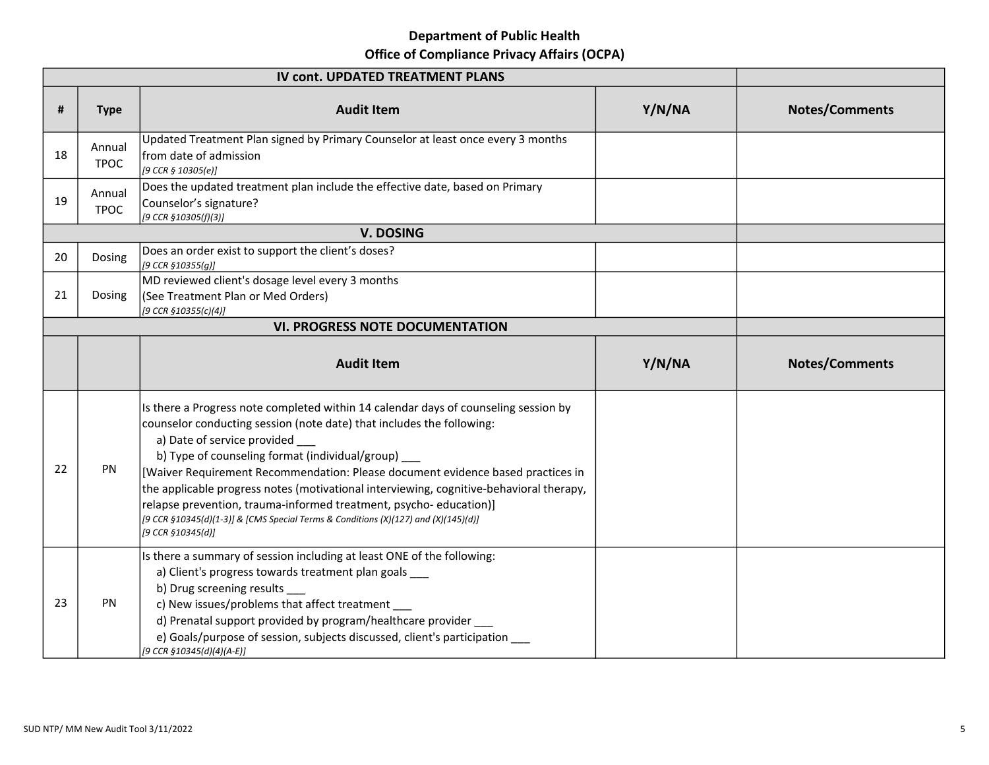# Department of Public Health

Office of Compliance Privacy Affairs (OCPA)

|    |                       | <b>IV cont. UPDATED TREATMENT PLANS</b>                                                                                                                                                                                                                                                                                                                                                                                                                                                                                                                                                                         |        |                       |
|----|-----------------------|-----------------------------------------------------------------------------------------------------------------------------------------------------------------------------------------------------------------------------------------------------------------------------------------------------------------------------------------------------------------------------------------------------------------------------------------------------------------------------------------------------------------------------------------------------------------------------------------------------------------|--------|-----------------------|
| #  | <b>Type</b>           | <b>Audit Item</b>                                                                                                                                                                                                                                                                                                                                                                                                                                                                                                                                                                                               | Y/N/NA | <b>Notes/Comments</b> |
| 18 | Annual<br><b>TPOC</b> | Updated Treatment Plan signed by Primary Counselor at least once every 3 months<br>from date of admission<br>[9 CCR 5 10305(e)]                                                                                                                                                                                                                                                                                                                                                                                                                                                                                 |        |                       |
| 19 | Annual<br><b>TPOC</b> | Does the updated treatment plan include the effective date, based on Primary<br>Counselor's signature?<br>[9 CCR §10305(f)(3)]                                                                                                                                                                                                                                                                                                                                                                                                                                                                                  |        |                       |
|    |                       | <b>V. DOSING</b>                                                                                                                                                                                                                                                                                                                                                                                                                                                                                                                                                                                                |        |                       |
| 20 | Dosing                | Does an order exist to support the client's doses?<br>[9 CCR §10355(g)]                                                                                                                                                                                                                                                                                                                                                                                                                                                                                                                                         |        |                       |
| 21 | Dosing                | MD reviewed client's dosage level every 3 months<br>(See Treatment Plan or Med Orders)<br>[9 CCR §10355(c)(4)]                                                                                                                                                                                                                                                                                                                                                                                                                                                                                                  |        |                       |
|    |                       |                                                                                                                                                                                                                                                                                                                                                                                                                                                                                                                                                                                                                 |        |                       |
|    |                       | <b>Audit Item</b>                                                                                                                                                                                                                                                                                                                                                                                                                                                                                                                                                                                               | Y/N/NA | <b>Notes/Comments</b> |
| 22 | PN                    | Is there a Progress note completed within 14 calendar days of counseling session by<br>counselor conducting session (note date) that includes the following:<br>a) Date of service provided<br>b) Type of counseling format (individual/group) __<br>[Waiver Requirement Recommendation: Please document evidence based practices in<br>the applicable progress notes (motivational interviewing, cognitive-behavioral therapy,<br>relapse prevention, trauma-informed treatment, psycho-education)]<br>[9 CCR §10345(d)(1-3)] & [CMS Special Terms & Conditions (X)(127) and (X)(145)(d)]<br>[9 CCR §10345(d)] |        |                       |
| 23 | PN                    | Is there a summary of session including at least ONE of the following:<br>a) Client's progress towards treatment plan goals<br>b) Drug screening results<br>c) New issues/problems that affect treatment<br>d) Prenatal support provided by program/healthcare provider ____<br>e) Goals/purpose of session, subjects discussed, client's participation ____<br>[9 CCR §10345(d)(4)(A-E)]                                                                                                                                                                                                                       |        |                       |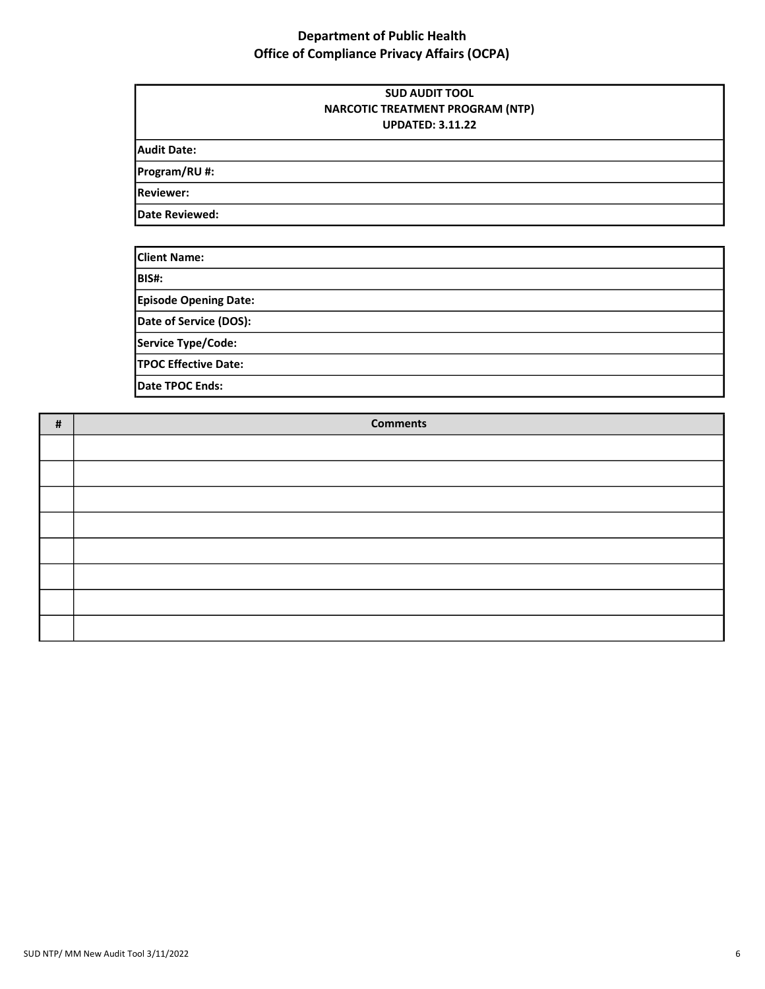|                    | <b>SUD AUDIT TOOL</b><br>NARCOTIC TREATMENT PROGRAM (NTP)<br><b>UPDATED: 3.11.22</b> |  |
|--------------------|--------------------------------------------------------------------------------------|--|
| <b>Audit Date:</b> |                                                                                      |  |
| Program/RU#:       |                                                                                      |  |
| <b>Reviewer:</b>   |                                                                                      |  |
| Date Reviewed:     |                                                                                      |  |

| <b>Client Name:</b>          |  |
|------------------------------|--|
| BIS#:                        |  |
| <b>Episode Opening Date:</b> |  |
| Date of Service (DOS):       |  |
| Service Type/Code:           |  |
| <b>TPOC Effective Date:</b>  |  |
| Date TPOC Ends:              |  |

| # | <b>Comments</b> |
|---|-----------------|
|   |                 |
|   |                 |
|   |                 |
|   |                 |
|   |                 |
|   |                 |
|   |                 |
|   |                 |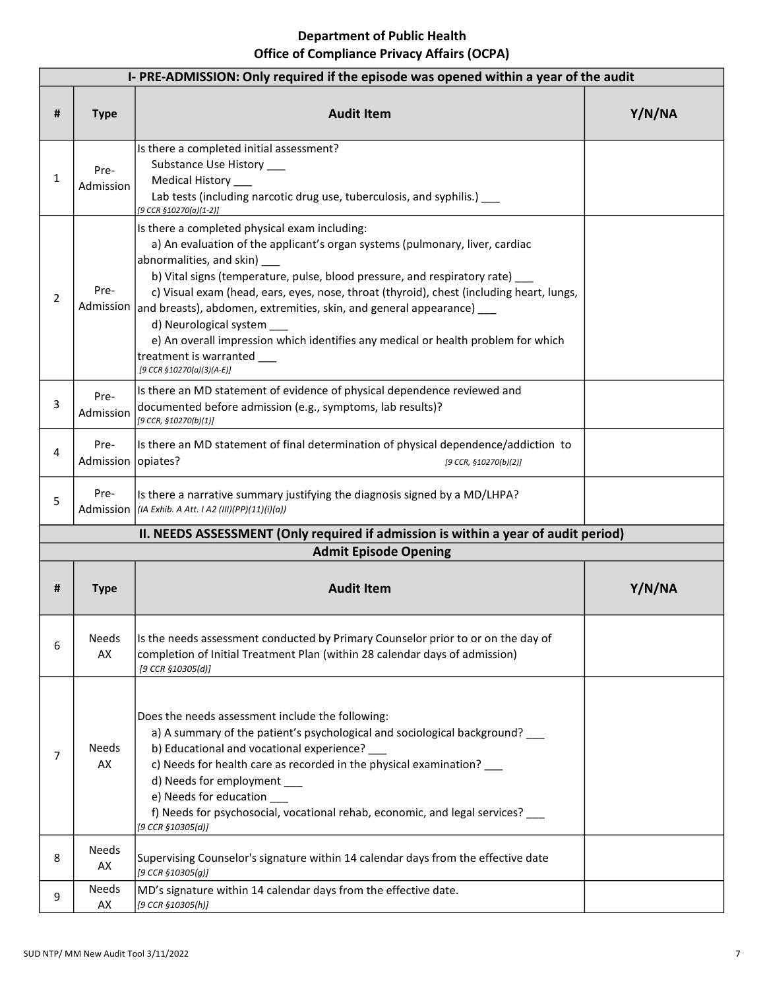|                | I-PRE-ADMISSION: Only required if the episode was opened within a year of the audit |                                                                                                                                                                                                                                                                                                                                                                                                                                                                                                                                                                                                       |        |  |  |
|----------------|-------------------------------------------------------------------------------------|-------------------------------------------------------------------------------------------------------------------------------------------------------------------------------------------------------------------------------------------------------------------------------------------------------------------------------------------------------------------------------------------------------------------------------------------------------------------------------------------------------------------------------------------------------------------------------------------------------|--------|--|--|
| #              | <b>Type</b>                                                                         | <b>Audit Item</b>                                                                                                                                                                                                                                                                                                                                                                                                                                                                                                                                                                                     | Y/N/NA |  |  |
| $\mathbf{1}$   | Pre-<br>Admission                                                                   | Is there a completed initial assessment?<br>Substance Use History ____<br>Medical History ____<br>Lab tests (including narcotic drug use, tuberculosis, and syphilis.) __<br>[9 CCR §10270(a)(1-2)]                                                                                                                                                                                                                                                                                                                                                                                                   |        |  |  |
| $\overline{2}$ | Pre-                                                                                | Is there a completed physical exam including:<br>a) An evaluation of the applicant's organ systems (pulmonary, liver, cardiac<br>abnormalities, and skin) ___<br>b) Vital signs (temperature, pulse, blood pressure, and respiratory rate) __<br>c) Visual exam (head, ears, eyes, nose, throat (thyroid), chest (including heart, lungs,<br>Admission and breasts), abdomen, extremities, skin, and general appearance) ___<br>d) Neurological system<br>e) An overall impression which identifies any medical or health problem for which<br>treatment is warranted<br>[9 CCR $$10270(a)(3)(A-E)$ ] |        |  |  |
| 3              | Pre-<br>Admission                                                                   | Is there an MD statement of evidence of physical dependence reviewed and<br>documented before admission (e.g., symptoms, lab results)?<br>[9 CCR, §10270(b)(1)]                                                                                                                                                                                                                                                                                                                                                                                                                                       |        |  |  |
| 4              | Pre-<br>Admission                                                                   | Is there an MD statement of final determination of physical dependence/addiction to<br>opiates?<br>[9 CCR, $$10270(b)(2)]$                                                                                                                                                                                                                                                                                                                                                                                                                                                                            |        |  |  |
| 5              | Pre-                                                                                | Is there a narrative summary justifying the diagnosis signed by a MD/LHPA?<br>Admission $ (IA \tExhib. A Att. IA2 (III)(PP)(11)(i)(a))$                                                                                                                                                                                                                                                                                                                                                                                                                                                               |        |  |  |
|                |                                                                                     | II. NEEDS ASSESSMENT (Only required if admission is within a year of audit period)                                                                                                                                                                                                                                                                                                                                                                                                                                                                                                                    |        |  |  |
|                |                                                                                     | <b>Admit Episode Opening</b>                                                                                                                                                                                                                                                                                                                                                                                                                                                                                                                                                                          |        |  |  |
| #              | <b>Type</b>                                                                         | <b>Audit Item</b>                                                                                                                                                                                                                                                                                                                                                                                                                                                                                                                                                                                     | Y/N/NA |  |  |
| 6              | Needs<br>AX                                                                         | Is the needs assessment conducted by Primary Counselor prior to or on the day of<br>completion of Initial Treatment Plan (within 28 calendar days of admission)<br>[9 CCR §10305(d)]                                                                                                                                                                                                                                                                                                                                                                                                                  |        |  |  |
| 7              | <b>Needs</b><br>AX                                                                  | Does the needs assessment include the following:<br>a) A summary of the patient's psychological and sociological background? ___<br>b) Educational and vocational experience?<br>c) Needs for health care as recorded in the physical examination? ___<br>d) Needs for employment<br>e) Needs for education ____<br>f) Needs for psychosocial, vocational rehab, economic, and legal services? ___<br>[9 CCR §10305(d)]                                                                                                                                                                               |        |  |  |
| 8              | <b>Needs</b><br>AX                                                                  | Supervising Counselor's signature within 14 calendar days from the effective date<br>[9 CCR §10305(g)]                                                                                                                                                                                                                                                                                                                                                                                                                                                                                                |        |  |  |
| 9              | Needs<br>AX                                                                         | MD's signature within 14 calendar days from the effective date.<br>[9 CCR §10305(h)]                                                                                                                                                                                                                                                                                                                                                                                                                                                                                                                  |        |  |  |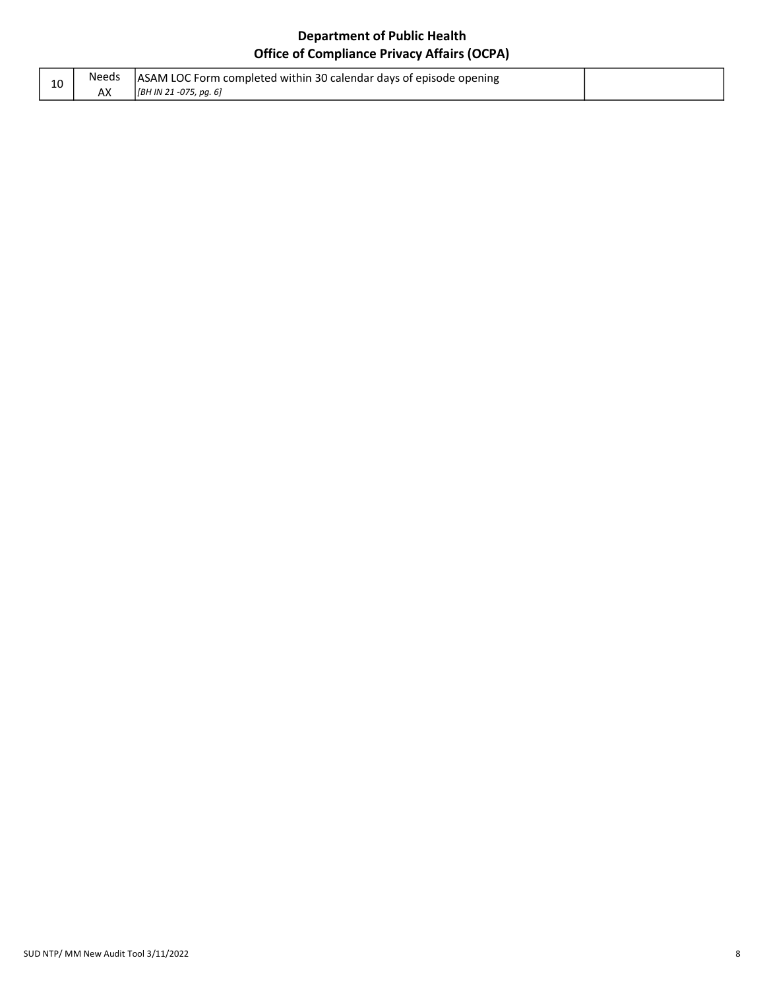| ΨU | Needs | ASAM LOC Form completed within 30 calendar days of episode opening |  |
|----|-------|--------------------------------------------------------------------|--|
|    | АX    | [BH IN 21 -075, pg. 6]                                             |  |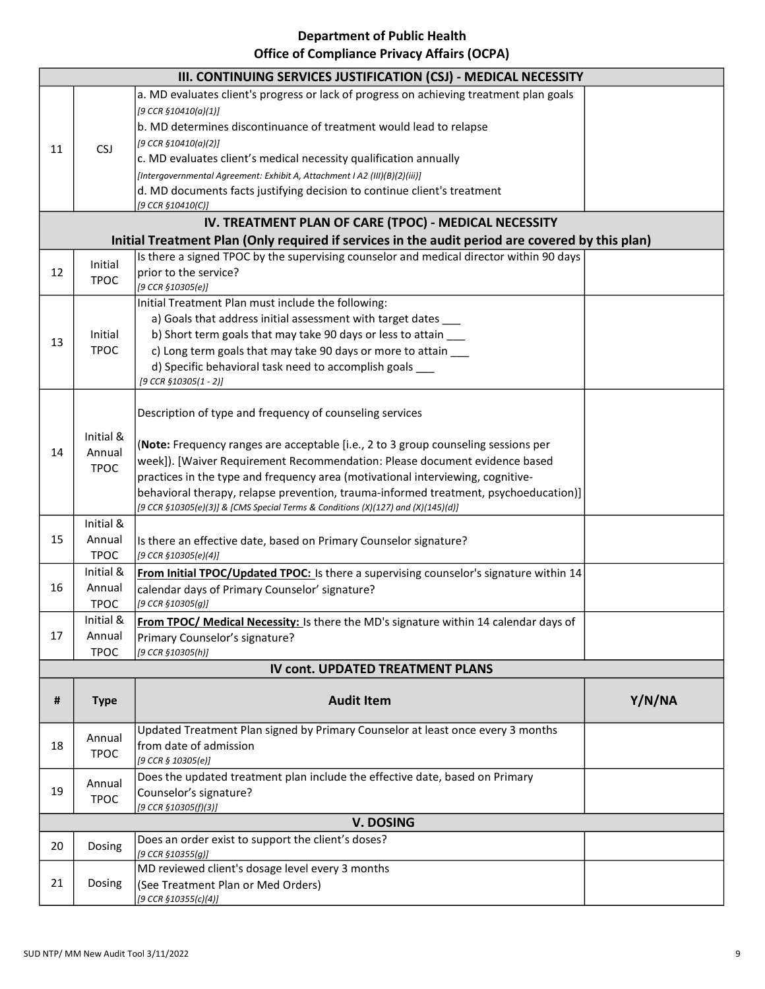## Department of Public Health

## Office of Compliance Privacy Affairs (OCPA)

|    | III. CONTINUING SERVICES JUSTIFICATION (CSJ) - MEDICAL NECESSITY |                                                                                                                                                                          |        |  |
|----|------------------------------------------------------------------|--------------------------------------------------------------------------------------------------------------------------------------------------------------------------|--------|--|
|    |                                                                  | a. MD evaluates client's progress or lack of progress on achieving treatment plan goals                                                                                  |        |  |
|    |                                                                  | [9 CCR §10410(a)(1)]                                                                                                                                                     |        |  |
|    |                                                                  | b. MD determines discontinuance of treatment would lead to relapse                                                                                                       |        |  |
| 11 | <b>CSJ</b>                                                       | [9 CCR $$10410(a)(2)]$                                                                                                                                                   |        |  |
|    |                                                                  | c. MD evaluates client's medical necessity qualification annually                                                                                                        |        |  |
|    |                                                                  | [Intergovernmental Agreement: Exhibit A, Attachment I A2 (III)(B)(2)(iii)]                                                                                               |        |  |
|    |                                                                  | d. MD documents facts justifying decision to continue client's treatment<br>[9 CCR §10410(C)]                                                                            |        |  |
|    |                                                                  | IV. TREATMENT PLAN OF CARE (TPOC) - MEDICAL NECESSITY                                                                                                                    |        |  |
|    |                                                                  | Initial Treatment Plan (Only required if services in the audit period are covered by this plan)                                                                          |        |  |
|    | Initial                                                          | Is there a signed TPOC by the supervising counselor and medical director within 90 days                                                                                  |        |  |
| 12 | <b>TPOC</b>                                                      | prior to the service?                                                                                                                                                    |        |  |
|    |                                                                  | [9 CCR \$10305(e)]                                                                                                                                                       |        |  |
|    |                                                                  | Initial Treatment Plan must include the following:                                                                                                                       |        |  |
|    |                                                                  | a) Goals that address initial assessment with target dates                                                                                                               |        |  |
| 13 | Initial<br><b>TPOC</b>                                           | b) Short term goals that may take 90 days or less to attain ___<br>c) Long term goals that may take 90 days or more to attain ____                                       |        |  |
|    |                                                                  | d) Specific behavioral task need to accomplish goals ___                                                                                                                 |        |  |
|    |                                                                  | [9 CCR $$10305(1 - 2)]$                                                                                                                                                  |        |  |
|    |                                                                  |                                                                                                                                                                          |        |  |
|    |                                                                  | Description of type and frequency of counseling services                                                                                                                 |        |  |
|    | Initial &                                                        |                                                                                                                                                                          |        |  |
| 14 | Annual                                                           | (Note: Frequency ranges are acceptable [i.e., 2 to 3 group counseling sessions per                                                                                       |        |  |
|    | <b>TPOC</b>                                                      | week]). [Waiver Requirement Recommendation: Please document evidence based                                                                                               |        |  |
|    |                                                                  | practices in the type and frequency area (motivational interviewing, cognitive-                                                                                          |        |  |
|    |                                                                  | behavioral therapy, relapse prevention, trauma-informed treatment, psychoeducation)]<br>[9 CCR §10305(e)(3)] & [CMS Special Terms & Conditions (X)(127) and (X)(145)(d)] |        |  |
|    | Initial &                                                        |                                                                                                                                                                          |        |  |
| 15 | Annual                                                           | Is there an effective date, based on Primary Counselor signature?                                                                                                        |        |  |
|    | <b>TPOC</b>                                                      | [9 CCR §10305(e)(4)]                                                                                                                                                     |        |  |
|    | Initial &                                                        | From Initial TPOC/Updated TPOC: Is there a supervising counselor's signature within 14                                                                                   |        |  |
| 16 | Annual                                                           | calendar days of Primary Counselor' signature?                                                                                                                           |        |  |
|    | <b>TPOC</b>                                                      | [9 CCR §10305(g)]                                                                                                                                                        |        |  |
|    | Initial &                                                        | From TPOC/ Medical Necessity: Is there the MD's signature within 14 calendar days of                                                                                     |        |  |
| 17 | Annual                                                           | Primary Counselor's signature?                                                                                                                                           |        |  |
|    | <b>TPOC</b>                                                      | [9 CCR §10305(h)]<br><b>IV cont. UPDATED TREATMENT PLANS</b>                                                                                                             |        |  |
|    |                                                                  |                                                                                                                                                                          |        |  |
| #  | <b>Type</b>                                                      | <b>Audit Item</b>                                                                                                                                                        | Y/N/NA |  |
|    |                                                                  | Updated Treatment Plan signed by Primary Counselor at least once every 3 months                                                                                          |        |  |
| 18 | Annual                                                           | from date of admission                                                                                                                                                   |        |  |
|    | <b>TPOC</b>                                                      | [9 CCR § 10305(e)]                                                                                                                                                       |        |  |
|    | Annual                                                           | Does the updated treatment plan include the effective date, based on Primary                                                                                             |        |  |
| 19 | <b>TPOC</b>                                                      | Counselor's signature?                                                                                                                                                   |        |  |
|    | [9 CCR §10305(f)(3)]                                             |                                                                                                                                                                          |        |  |
|    |                                                                  | <b>V. DOSING</b>                                                                                                                                                         |        |  |
| 20 | Dosing                                                           | Does an order exist to support the client's doses?<br>[9 CCR §10355(g)]                                                                                                  |        |  |
|    |                                                                  | MD reviewed client's dosage level every 3 months                                                                                                                         |        |  |
| 21 | Dosing                                                           | (See Treatment Plan or Med Orders)                                                                                                                                       |        |  |
|    |                                                                  | [9 CCR §10355(c)(4)]                                                                                                                                                     |        |  |